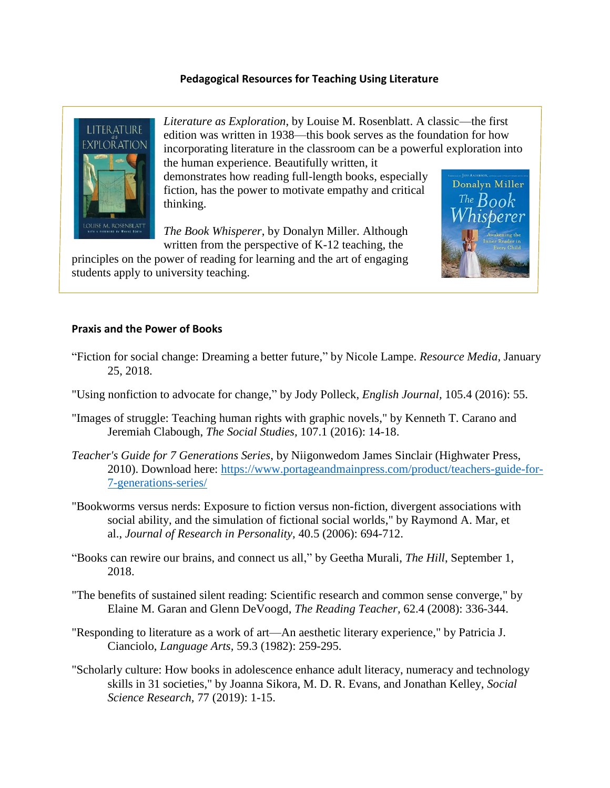## **Pedagogical Resources for Teaching Using Literature**



*Literature as Exploration*, by Louise M. Rosenblatt. A classic—the first edition was written in 1938—this book serves as the foundation for how incorporating literature in the classroom can be a powerful exploration into the human experience. Beautifully written, it

> Donalyn Miller The  $Book$

demonstrates how reading full-length books, especially fiction, has the power to motivate empathy and critical thinking.

*The Book Whisperer*, by Donalyn Miller. Although written from the perspective of K-12 teaching, the



## **Praxis and the Power of Books**

- "Fiction for social change: Dreaming a better future," by Nicole Lampe. *Resource Media,* January 25, 2018.
- "Using nonfiction to advocate for change," by Jody Polleck, *English Journal,* 105.4 (2016): 55.
- "Images of struggle: Teaching human rights with graphic novels," by Kenneth T. Carano and Jeremiah Clabough, *The Social Studies,* 107.1 (2016): 14-18.
- *Teacher's Guide for 7 Generations Series*, by Niigonwedom James Sinclair (Highwater Press, 2010). Download here: [https://www.portageandmainpress.com/product/teachers-guide-for-](https://www.portageandmainpress.com/product/teachers-guide-for-7-generations-series/)[7-generations-series/](https://www.portageandmainpress.com/product/teachers-guide-for-7-generations-series/)
- "Bookworms versus nerds: Exposure to fiction versus non-fiction, divergent associations with social ability, and the simulation of fictional social worlds," by Raymond A. Mar, et al., *Journal of Research in Personality,* 40.5 (2006): 694-712.
- "Books can rewire our brains, and connect us all," by Geetha Murali, *The Hill*, September 1, 2018.
- "The benefits of sustained silent reading: Scientific research and common sense converge," by Elaine M. Garan and Glenn DeVoogd, *The Reading Teacher,* 62.4 (2008): 336-344.
- "Responding to literature as a work of art—An aesthetic literary experience," by Patricia J. Cianciolo, *Language Arts,* 59.3 (1982): 259-295.
- "Scholarly culture: How books in adolescence enhance adult literacy, numeracy and technology skills in 31 societies," by Joanna Sikora, M. D. R. Evans, and Jonathan Kelley, *Social Science Research,* 77 (2019): 1-15.